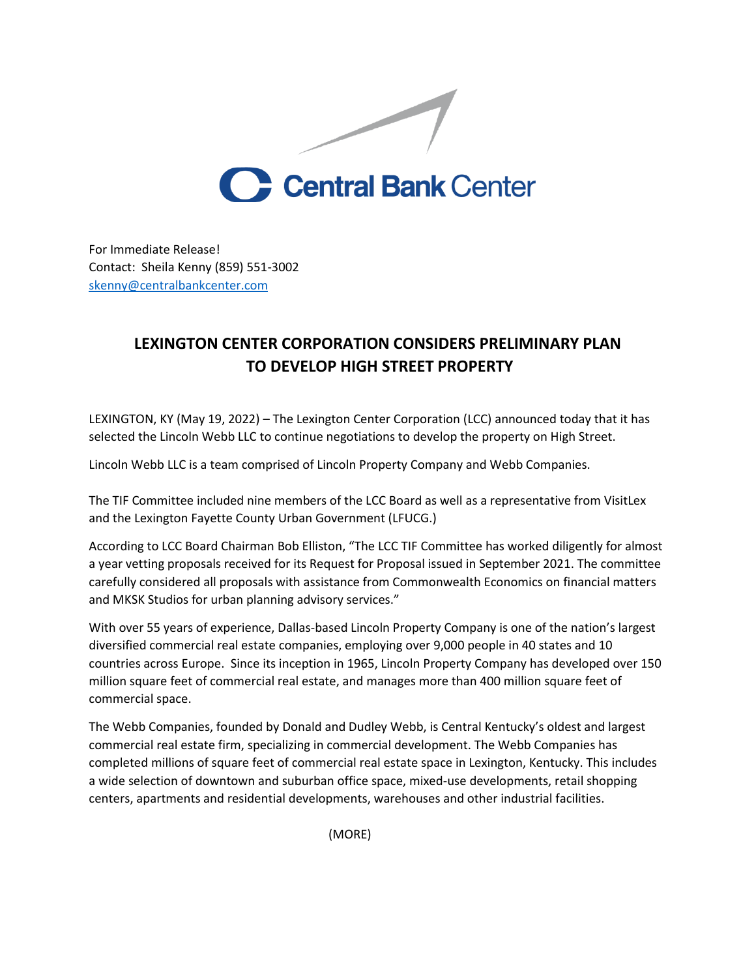

For Immediate Release! Contact: Sheila Kenny (859) 551-3002 [skenny@centralbankcenter.com](mailto:skenny@centralbankcenter.com)

## **LEXINGTON CENTER CORPORATION CONSIDERS PRELIMINARY PLAN TO DEVELOP HIGH STREET PROPERTY**

LEXINGTON, KY (May 19, 2022) – The Lexington Center Corporation (LCC) announced today that it has selected the Lincoln Webb LLC to continue negotiations to develop the property on High Street.

Lincoln Webb LLC is a team comprised of Lincoln Property Company and Webb Companies.

The TIF Committee included nine members of the LCC Board as well as a representative from VisitLex and the Lexington Fayette County Urban Government (LFUCG.)

According to LCC Board Chairman Bob Elliston, "The LCC TIF Committee has worked diligently for almost a year vetting proposals received for its Request for Proposal issued in September 2021. The committee carefully considered all proposals with assistance from Commonwealth Economics on financial matters and MKSK Studios for urban planning advisory services."

With over 55 years of experience, Dallas-based Lincoln Property Company is one of the nation's largest diversified commercial real estate companies, employing over 9,000 people in 40 states and 10 countries across Europe. Since its inception in 1965, Lincoln Property Company has developed over 150 million square feet of commercial real estate, and manages more than 400 million square feet of commercial space.

The Webb Companies, founded by Donald and Dudley Webb, is Central Kentucky's oldest and largest commercial real estate firm, specializing in commercial development. The Webb Companies has completed millions of square feet of commercial real estate space in Lexington, Kentucky. This includes a wide selection of downtown and suburban office space, mixed-use developments, retail shopping centers, apartments and residential developments, warehouses and other industrial facilities.

(MORE)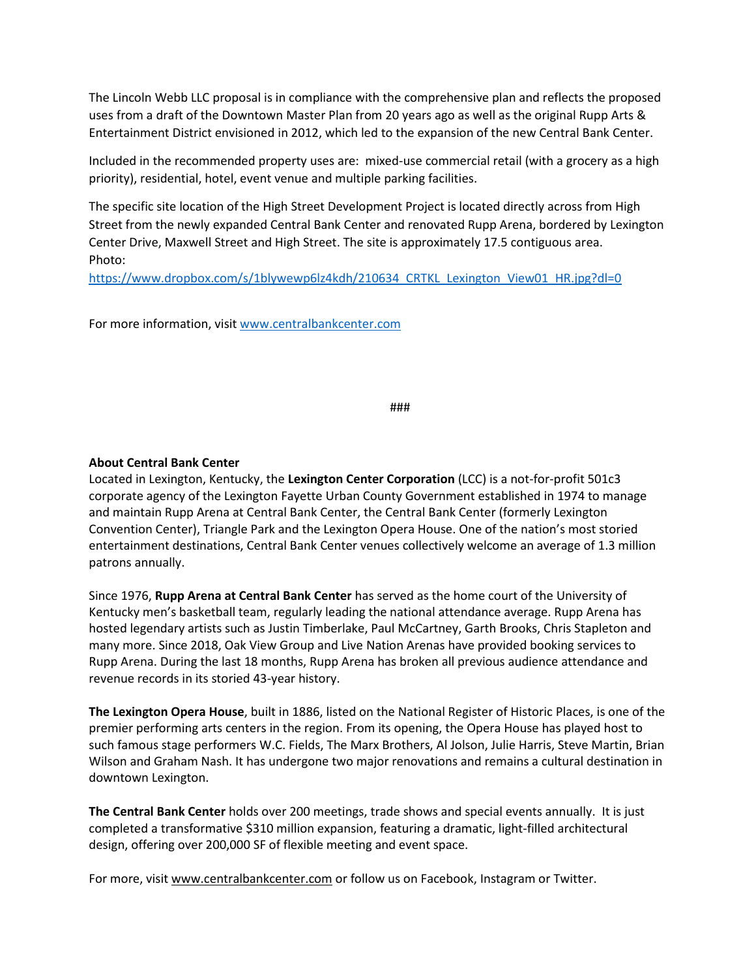The Lincoln Webb LLC proposal is in compliance with the comprehensive plan and reflects the proposed uses from a draft of the Downtown Master Plan from 20 years ago as well as the original Rupp Arts & Entertainment District envisioned in 2012, which led to the expansion of the new Central Bank Center.

Included in the recommended property uses are: mixed-use commercial retail (with a grocery as a high priority), residential, hotel, event venue and multiple parking facilities.

The specific site location of the High Street Development Project is located directly across from High Street from the newly expanded Central Bank Center and renovated Rupp Arena, bordered by Lexington Center Drive, Maxwell Street and High Street. The site is approximately 17.5 contiguous area. Photo:

[https://www.dropbox.com/s/1blywewp6lz4kdh/210634\\_CRTKL\\_Lexington\\_View01\\_HR.jpg?dl=0](https://www.dropbox.com/s/1blywewp6lz4kdh/210634_CRTKL_Lexington_View01_HR.jpg?dl=0)

For more information, visi[t www.centralbankcenter.com](http://www.centralbankcenter.com/)

###

## **About Central Bank Center**

Located in Lexington, Kentucky, the **Lexington Center Corporation** (LCC) is a not-for-profit 501c3 corporate agency of the Lexington Fayette Urban County Government established in 1974 to manage and maintain Rupp Arena at Central Bank Center, the Central Bank Center (formerly Lexington Convention Center), Triangle Park and the Lexington Opera House. One of the nation's most storied entertainment destinations, Central Bank Center venues collectively welcome an average of 1.3 million patrons annually.

Since 1976, **Rupp Arena at Central Bank Center** has served as the home court of the University of Kentucky men's basketball team, regularly leading the national attendance average. Rupp Arena has hosted legendary artists such as Justin Timberlake, Paul McCartney, Garth Brooks, Chris Stapleton and many more. Since 2018, Oak View Group and Live Nation Arenas have provided booking services to Rupp Arena. During the last 18 months, Rupp Arena has broken all previous audience attendance and revenue records in its storied 43-year history.

**The Lexington Opera House**, built in 1886, listed on the National Register of Historic Places, is one of the premier performing arts centers in the region. From its opening, the Opera House has played host to such famous stage performers W.C. Fields, The Marx Brothers, Al Jolson, Julie Harris, Steve Martin, Brian Wilson and Graham Nash. It has undergone two major renovations and remains a cultural destination in downtown Lexington.

**The Central Bank Center** holds over 200 meetings, trade shows and special events annually. It is just completed a transformative \$310 million expansion, featuring a dramatic, light-filled architectural design, offering over 200,000 SF of flexible meeting and event space.

For more, visit [www.centralbankcenter.com](http://www.centralbankcenter.com/) or follow us on Facebook, Instagram or Twitter.